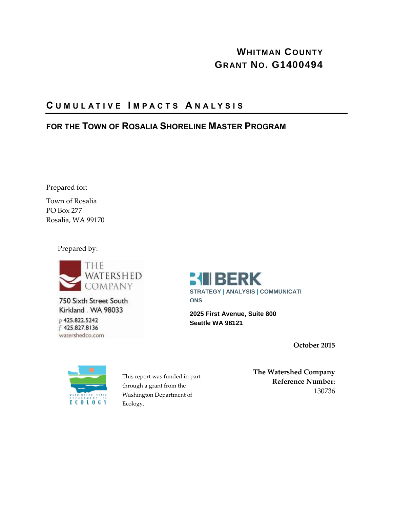### **WHITMAN COUNTY GRANT NO. G1400494**

### **C U M U L A T I V E I M P A C T S A N A L Y S I S**

### **FOR THE TOWN OF ROSALIA SHORELINE MASTER PROGRAM**

Prepared for:

Town of Rosalia PO Box 277 Rosalia, WA 99170

Prepared by:



750 Sixth Street South Kirkland . WA 98033 p 425.822.5242 f 425.827.8136 watershedco.com



**2025 First Avenue, Suite 800 Seattle WA 98121**

**October 2015**



This report was funded in part through a grant from the Washington Department of Ecology.

**The Watershed Company Reference Number:** 130736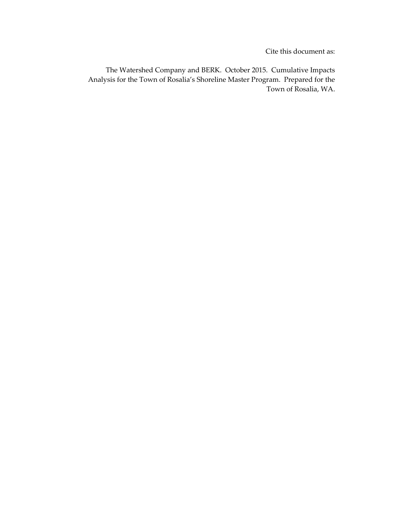Cite this document as:

The Watershed Company and BERK. October 2015. Cumulative Impacts Analysis for the Town of Rosalia's Shoreline Master Program. Prepared for the Town of Rosalia, WA.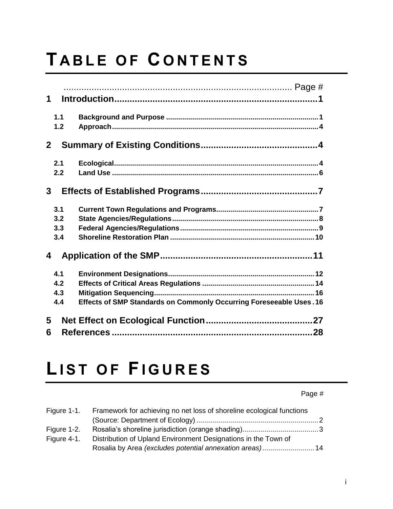# **T A B L E O F C O N T E N T S**

| $\mathbf 1$  |                                                                     |
|--------------|---------------------------------------------------------------------|
| 1.1          |                                                                     |
| 1.2          |                                                                     |
| $\mathbf{2}$ |                                                                     |
| 2.1          |                                                                     |
| 2.2          |                                                                     |
| $\mathbf{3}$ |                                                                     |
| 3.1          |                                                                     |
| 3.2          |                                                                     |
| 3.3          |                                                                     |
| 3.4          |                                                                     |
| 4            |                                                                     |
| 4.1          |                                                                     |
| 4.2          |                                                                     |
| 4.3          |                                                                     |
| 4.4          | Effects of SMP Standards on Commonly Occurring Foreseeable Uses. 16 |
| 5            |                                                                     |
| 6            |                                                                     |
|              |                                                                     |

## **LIST OF FIGURES**

Page #

| Figure 1-1. | Framework for achieving no net loss of shoreline ecological functions |  |  |
|-------------|-----------------------------------------------------------------------|--|--|
|             |                                                                       |  |  |
| Figure 1-2. |                                                                       |  |  |
| Figure 4-1. | Distribution of Upland Environment Designations in the Town of        |  |  |
|             |                                                                       |  |  |
|             |                                                                       |  |  |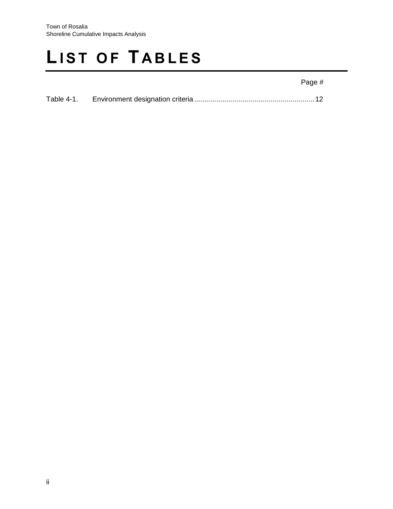## **LIST OF TABLES**

### Page #

| Table 4-1. |  |  |
|------------|--|--|
|------------|--|--|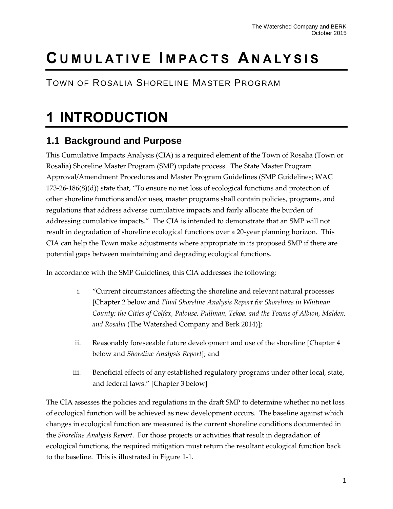## **C U M U L AT I V E I M PA C T S A N A LY S I S**

TOWN OF ROSALIA SHORELINE MASTER PROGRAM

## **1 INTRODUCTION**

### **1.1 Background and Purpose**

This Cumulative Impacts Analysis (CIA) is a required element of the Town of Rosalia (Town or Rosalia) Shoreline Master Program (SMP) update process. The State Master Program Approval/Amendment Procedures and Master Program Guidelines (SMP Guidelines; WAC 173-26-186(8)(d)) state that, "To ensure no net loss of ecological functions and protection of other shoreline functions and/or uses, master programs shall contain policies, programs, and regulations that address adverse cumulative impacts and fairly allocate the burden of addressing cumulative impacts." The CIA is intended to demonstrate that an SMP will not result in degradation of shoreline ecological functions over a 20-year planning horizon. This CIA can help the Town make adjustments where appropriate in its proposed SMP if there are potential gaps between maintaining and degrading ecological functions.

In accordance with the SMP Guidelines, this CIA addresses the following:

- i. "Current circumstances affecting the shoreline and relevant natural processes [Chapter 2 below and *Final Shoreline Analysis Report for Shorelines in Whitman County; the Cities of Colfax, Palouse, Pullman, Tekoa, and the Towns of Albion, Malden, and Rosalia* (The Watershed Company and Berk 2014)];
- ii. Reasonably foreseeable future development and use of the shoreline [Chapter 4 below and *Shoreline Analysis Report*]; and
- iii. Beneficial effects of any established regulatory programs under other local, state, and federal laws." [Chapter 3 below]

The CIA assesses the policies and regulations in the draft SMP to determine whether no net loss of ecological function will be achieved as new development occurs. The baseline against which changes in ecological function are measured is the current shoreline conditions documented in the *Shoreline Analysis Report*. For those projects or activities that result in degradation of ecological functions, the required mitigation must return the resultant ecological function back to the baseline. This is illustrated in Figure 1-1.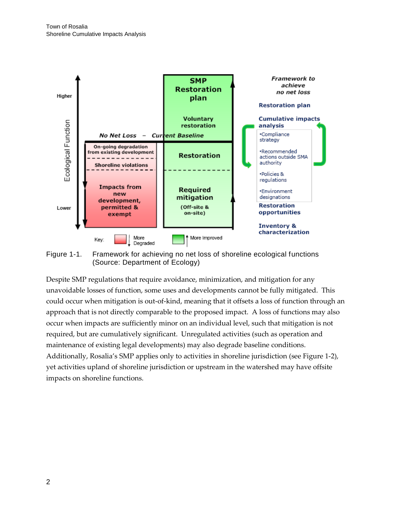

<span id="page-5-0"></span>Figure 1-1. Framework for achieving no net loss of shoreline ecological functions (Source: Department of Ecology)

Despite SMP regulations that require avoidance, minimization, and mitigation for any unavoidable losses of function, some uses and developments cannot be fully mitigated. This could occur when mitigation is out-of-kind, meaning that it offsets a loss of function through an approach that is not directly comparable to the proposed impact. A loss of functions may also occur when impacts are sufficiently minor on an individual level, such that mitigation is not required, but are cumulatively significant. Unregulated activities (such as operation and maintenance of existing legal developments) may also degrade baseline conditions. Additionally, Rosalia's SMP applies only to activities in shoreline jurisdiction (see Figure 1-2), yet activities upland of shoreline jurisdiction or upstream in the watershed may have offsite impacts on shoreline functions.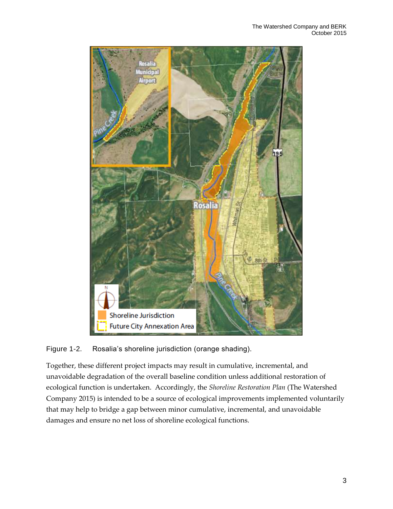

### <span id="page-6-0"></span>Figure 1-2. Rosalia's shoreline jurisdiction (orange shading).

Together, these different project impacts may result in cumulative, incremental, and unavoidable degradation of the overall baseline condition unless additional restoration of ecological function is undertaken. Accordingly, the *Shoreline Restoration Plan* (The Watershed Company 2015) is intended to be a source of ecological improvements implemented voluntarily that may help to bridge a gap between minor cumulative, incremental, and unavoidable damages and ensure no net loss of shoreline ecological functions.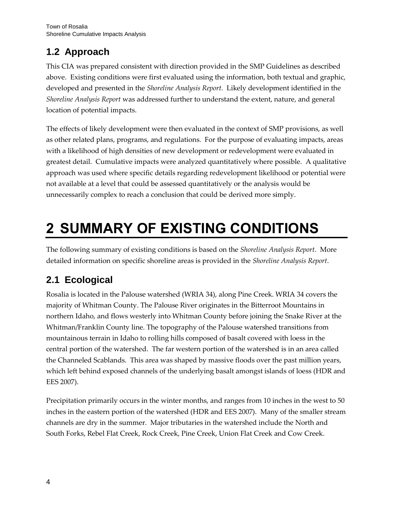### **1.2 Approach**

This CIA was prepared consistent with direction provided in the SMP Guidelines as described above. Existing conditions were first evaluated using the information, both textual and graphic, developed and presented in the *Shoreline Analysis Report.* Likely development identified in the *Shoreline Analysis Report* was addressed further to understand the extent, nature, and general location of potential impacts.

The effects of likely development were then evaluated in the context of SMP provisions, as well as other related plans, programs, and regulations. For the purpose of evaluating impacts, areas with a likelihood of high densities of new development or redevelopment were evaluated in greatest detail. Cumulative impacts were analyzed quantitatively where possible. A qualitative approach was used where specific details regarding redevelopment likelihood or potential were not available at a level that could be assessed quantitatively or the analysis would be unnecessarily complex to reach a conclusion that could be derived more simply.

## **2 SUMMARY OF EXISTING CONDITIONS**

The following summary of existing conditions is based on the *Shoreline Analysis Report*. More detailed information on specific shoreline areas is provided in the *Shoreline Analysis Report*.

### **2.1 Ecological**

Rosalia is located in the Palouse watershed (WRIA 34), along Pine Creek. WRIA 34 covers the majority of Whitman County. The Palouse River originates in the Bitterroot Mountains in northern Idaho, and flows westerly into Whitman County before joining the Snake River at the Whitman/Franklin County line. The topography of the Palouse watershed transitions from mountainous terrain in Idaho to rolling hills composed of basalt covered with loess in the central portion of the watershed. The far western portion of the watershed is in an area called the Channeled Scablands. This area was shaped by massive floods over the past million years, which left behind exposed channels of the underlying basalt amongst islands of loess (HDR and EES 2007).

Precipitation primarily occurs in the winter months, and ranges from 10 inches in the west to 50 inches in the eastern portion of the watershed (HDR and EES 2007). Many of the smaller stream channels are dry in the summer. Major tributaries in the watershed include the North and South Forks, Rebel Flat Creek, Rock Creek, Pine Creek, Union Flat Creek and Cow Creek.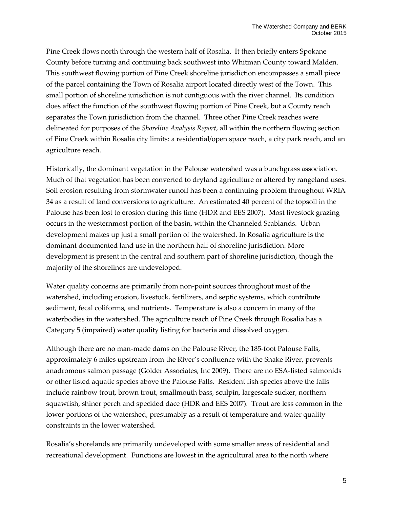Pine Creek flows north through the western half of Rosalia. It then briefly enters Spokane County before turning and continuing back southwest into Whitman County toward Malden. This southwest flowing portion of Pine Creek shoreline jurisdiction encompasses a small piece of the parcel containing the Town of Rosalia airport located directly west of the Town. This small portion of shoreline jurisdiction is not contiguous with the river channel. Its condition does affect the function of the southwest flowing portion of Pine Creek, but a County reach separates the Town jurisdiction from the channel. Three other Pine Creek reaches were delineated for purposes of the *Shoreline Analysis Report*, all within the northern flowing section of Pine Creek within Rosalia city limits: a residential/open space reach, a city park reach, and an agriculture reach.

Historically, the dominant vegetation in the Palouse watershed was a bunchgrass association. Much of that vegetation has been converted to dryland agriculture or altered by rangeland uses. Soil erosion resulting from stormwater runoff has been a continuing problem throughout WRIA 34 as a result of land conversions to agriculture. An estimated 40 percent of the topsoil in the Palouse has been lost to erosion during this time (HDR and EES 2007). Most livestock grazing occurs in the westernmost portion of the basin, within the Channeled Scablands. Urban development makes up just a small portion of the watershed. In Rosalia agriculture is the dominant documented land use in the northern half of shoreline jurisdiction. More development is present in the central and southern part of shoreline jurisdiction, though the majority of the shorelines are undeveloped.

Water quality concerns are primarily from non-point sources throughout most of the watershed, including erosion, livestock, fertilizers, and septic systems, which contribute sediment, fecal coliforms, and nutrients. Temperature is also a concern in many of the waterbodies in the watershed. The agriculture reach of Pine Creek through Rosalia has a Category 5 (impaired) water quality listing for bacteria and dissolved oxygen.

Although there are no man-made dams on the Palouse River, the 185-foot Palouse Falls, approximately 6 miles upstream from the River's confluence with the Snake River, prevents anadromous salmon passage (Golder Associates, Inc 2009). There are no ESA-listed salmonids or other listed aquatic species above the Palouse Falls. Resident fish species above the falls include rainbow trout, brown trout, smallmouth bass, sculpin, largescale sucker, northern squawfish, shiner perch and speckled dace (HDR and EES 2007). Trout are less common in the lower portions of the watershed, presumably as a result of temperature and water quality constraints in the lower watershed.

Rosalia's shorelands are primarily undeveloped with some smaller areas of residential and recreational development. Functions are lowest in the agricultural area to the north where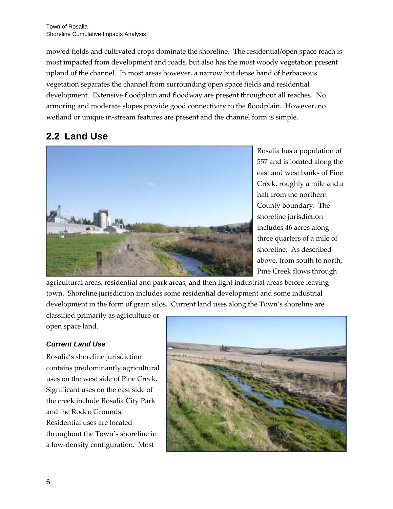mowed fields and cultivated crops dominate the shoreline. The residential/open space reach is most impacted from development and roads, but also has the most woody vegetation present upland of the channel. In most areas however, a narrow but dense band of herbaceous vegetation separates the channel from surrounding open space fields and residential development. Extensive floodplain and floodway are present throughout all reaches. No armoring and moderate slopes provide good connectivity to the floodplain. However, no wetland or unique in-stream features are present and the channel form is simple.

### **2.2 Land Use**



Rosalia has a population of 557 and is located along the east and west banks of Pine Creek, roughly a mile and a half from the northern County boundary. The shoreline jurisdiction includes 46 acres along three quarters of a mile of shoreline. As described above, from south to north, Pine Creek flows through

agricultural areas, residential and park areas, and then light industrial areas before leaving town. Shoreline jurisdiction includes some residential development and some industrial development in the form of grain silos. Current land uses along the Town's shoreline are

classified primarily as agriculture or open space land.

### *Current Land Use*

Rosalia's shoreline jurisdiction contains predominantly agricultural uses on the west side of Pine Creek. Significant uses on the east side of the creek include Rosalia City Park and the Rodeo Grounds. Residential uses are located throughout the Town's shoreline in a low-density configuration. Most

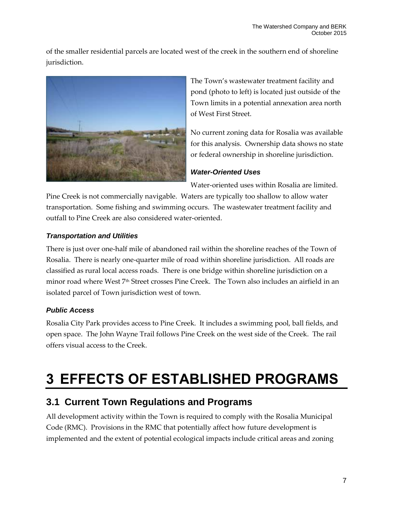of the smaller residential parcels are located west of the creek in the southern end of shoreline jurisdiction.



The Town's wastewater treatment facility and pond (photo to left) is located just outside of the Town limits in a potential annexation area north of West First Street.

No current zoning data for Rosalia was available for this analysis. Ownership data shows no state or federal ownership in shoreline jurisdiction.

### *Water-Oriented Uses*

Water-oriented uses within Rosalia are limited.

Pine Creek is not commercially navigable. Waters are typically too shallow to allow water transportation. Some fishing and swimming occurs. The wastewater treatment facility and outfall to Pine Creek are also considered water-oriented.

### *Transportation and Utilities*

There is just over one-half mile of abandoned rail within the shoreline reaches of the Town of Rosalia. There is nearly one-quarter mile of road within shoreline jurisdiction. All roads are classified as rural local access roads. There is one bridge within shoreline jurisdiction on a minor road where West 7th Street crosses Pine Creek. The Town also includes an airfield in an isolated parcel of Town jurisdiction west of town.

### *Public Access*

Rosalia City Park provides access to Pine Creek. It includes a swimming pool, ball fields, and open space. The John Wayne Trail follows Pine Creek on the west side of the Creek. The rail offers visual access to the Creek.

## **3 EFFECTS OF ESTABLISHED PROGRAMS**

### **3.1 Current Town Regulations and Programs**

All development activity within the Town is required to comply with the Rosalia Municipal Code (RMC). Provisions in the RMC that potentially affect how future development is implemented and the extent of potential ecological impacts include critical areas and zoning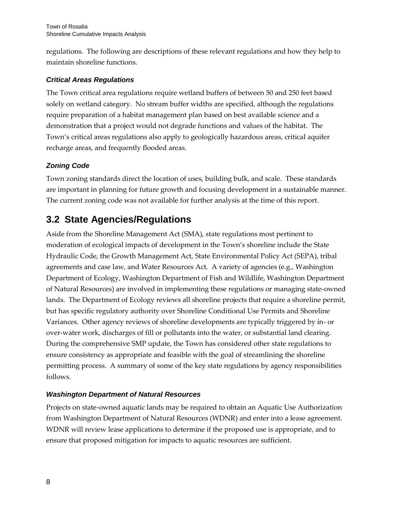regulations. The following are descriptions of these relevant regulations and how they help to maintain shoreline functions.

### *Critical Areas Regulations*

The Town critical area regulations require wetland buffers of between 50 and 250 feet based solely on wetland category. No stream buffer widths are specified, although the regulations require preparation of a habitat management plan based on best available science and a demonstration that a project would not degrade functions and values of the habitat. The Town's critical areas regulations also apply to geologically hazardous areas, critical aquifer recharge areas, and frequently flooded areas.

### *Zoning Code*

Town zoning standards direct the location of uses, building bulk, and scale. These standards are important in planning for future growth and focusing development in a sustainable manner. The current zoning code was not available for further analysis at the time of this report.

### **3.2 State Agencies/Regulations**

Aside from the Shoreline Management Act (SMA), state regulations most pertinent to moderation of ecological impacts of development in the Town's shoreline include the State Hydraulic Code, the Growth Management Act, State Environmental Policy Act (SEPA), tribal agreements and case law, and Water Resources Act. A variety of agencies (e.g., Washington Department of Ecology, Washington Department of Fish and Wildlife, Washington Department of Natural Resources) are involved in implementing these regulations or managing state-owned lands. The Department of Ecology reviews all shoreline projects that require a shoreline permit, but has specific regulatory authority over Shoreline Conditional Use Permits and Shoreline Variances. Other agency reviews of shoreline developments are typically triggered by in- or over-water work, discharges of fill or pollutants into the water, or substantial land clearing. During the comprehensive SMP update, the Town has considered other state regulations to ensure consistency as appropriate and feasible with the goal of streamlining the shoreline permitting process. A summary of some of the key state regulations by agency responsibilities follows.

### *Washington Department of Natural Resources*

Projects on state-owned aquatic lands may be required to obtain an Aquatic Use Authorization from Washington Department of Natural Resources (WDNR) and enter into a lease agreement. WDNR will review lease applications to determine if the proposed use is appropriate, and to ensure that proposed mitigation for impacts to aquatic resources are sufficient.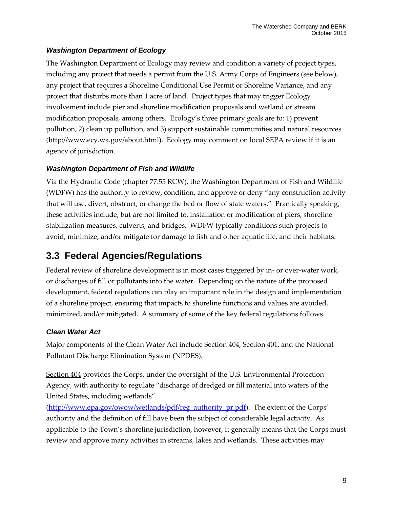### *Washington Department of Ecology*

The Washington Department of Ecology may review and condition a variety of project types, including any project that needs a permit from the U.S. Army Corps of Engineers (see below), any project that requires a Shoreline Conditional Use Permit or Shoreline Variance, and any project that disturbs more than 1 acre of land. Project types that may trigger Ecology involvement include pier and shoreline modification proposals and wetland or stream modification proposals, among others. Ecology's three primary goals are to: 1) prevent pollution, 2) clean up pollution, and 3) support sustainable communities and natural resources (http://www.ecy.wa.gov/about.html). Ecology may comment on local SEPA review if it is an agency of jurisdiction.

### *Washington Department of Fish and Wildlife*

Via the Hydraulic Code (chapter 77.55 RCW), the Washington Department of Fish and Wildlife (WDFW) has the authority to review, condition, and approve or deny "any construction activity that will use, divert, obstruct, or change the bed or flow of state waters." Practically speaking, these activities include, but are not limited to, installation or modification of piers, shoreline stabilization measures, culverts, and bridges. WDFW typically conditions such projects to avoid, minimize, and/or mitigate for damage to fish and other aquatic life, and their habitats.

### **3.3 Federal Agencies/Regulations**

Federal review of shoreline development is in most cases triggered by in- or over-water work, or discharges of fill or pollutants into the water. Depending on the nature of the proposed development, federal regulations can play an important role in the design and implementation of a shoreline project, ensuring that impacts to shoreline functions and values are avoided, minimized, and/or mitigated. A summary of some of the key federal regulations follows.

### *Clean Water Act*

Major components of the Clean Water Act include Section 404, Section 401, and the National Pollutant Discharge Elimination System (NPDES).

Section  $404$  provides the Corps, under the oversight of the U.S. Environmental Protection Agency, with authority to regulate "discharge of dredged or fill material into waters of the United States, including wetlands"

[\(http://www.epa.gov/owow/wetlands/pdf/reg\\_authority\\_pr.pdf](http://www.epa.gov/owow/wetlands/pdf/reg_authority_pr.pdf)). The extent of the Corps' authority and the definition of fill have been the subject of considerable legal activity. As applicable to the Town's shoreline jurisdiction, however, it generally means that the Corps must review and approve many activities in streams, lakes and wetlands. These activities may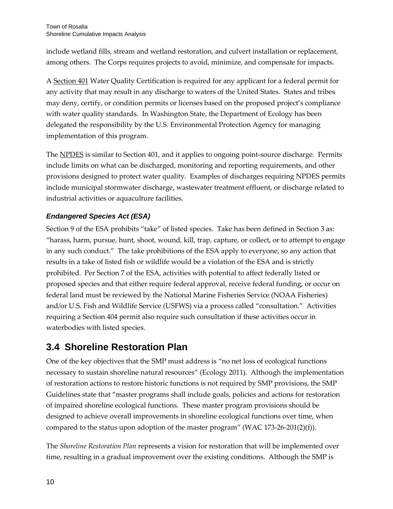include wetland fills, stream and wetland restoration, and culvert installation or replacement, among others. The Corps requires projects to avoid, minimize, and compensate for impacts.

A Section 401 Water Quality Certification is required for any applicant for a federal permit for any activity that may result in any discharge to waters of the United States. States and tribes may deny, certify, or condition permits or licenses based on the proposed project's compliance with water quality standards. In Washington State, the Department of Ecology has been delegated the responsibility by the U.S. Environmental Protection Agency for managing implementation of this program.

The NPDES is similar to Section 401, and it applies to ongoing point-source discharge. Permits include limits on what can be discharged, monitoring and reporting requirements, and other provisions designed to protect water quality. Examples of discharges requiring NPDES permits include municipal stormwater discharge, wastewater treatment effluent, or discharge related to industrial activities or aquaculture facilities.

### *Endangered Species Act (ESA)*

Section 9 of the ESA prohibits "take" of listed species. Take has been defined in Section 3 as: "harass, harm, pursue, hunt, shoot, wound, kill, trap, capture, or collect, or to attempt to engage in any such conduct." The take prohibitions of the ESA apply to everyone, so any action that results in a take of listed fish or wildlife would be a violation of the ESA and is strictly prohibited. Per Section 7 of the ESA, activities with potential to affect federally listed or proposed species and that either require federal approval, receive federal funding, or occur on federal land must be reviewed by the National Marine Fisheries Service (NOAA Fisheries) and/or U.S. Fish and Wildlife Service (USFWS) via a process called "consultation." Activities requiring a Section 404 permit also require such consultation if these activities occur in waterbodies with listed species.

### **3.4 Shoreline Restoration Plan**

One of the key objectives that the SMP must address is "no net loss of ecological functions necessary to sustain shoreline natural resources" (Ecology 2011). Although the implementation of restoration actions to restore historic functions is not required by SMP provisions, the SMP Guidelines state that "master programs shall include goals, policies and actions for restoration of impaired shoreline ecological functions. These master program provisions should be designed to achieve overall improvements in shoreline ecological functions over time, when compared to the status upon adoption of the master program" (WAC 173-26-201(2)(f)).

The *Shoreline Restoration Plan* represents a vision for restoration that will be implemented over time, resulting in a gradual improvement over the existing conditions. Although the SMP is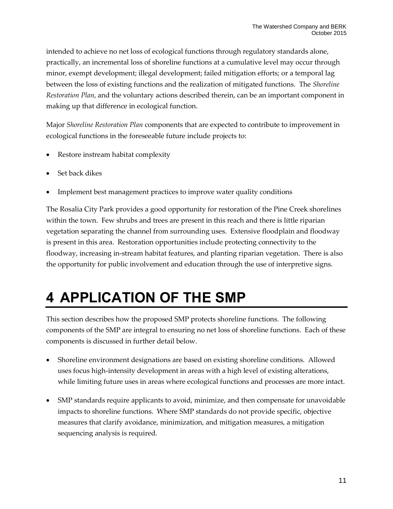intended to achieve no net loss of ecological functions through regulatory standards alone, practically, an incremental loss of shoreline functions at a cumulative level may occur through minor, exempt development; illegal development; failed mitigation efforts; or a temporal lag between the loss of existing functions and the realization of mitigated functions. The *Shoreline Restoration Plan*, and the voluntary actions described therein, can be an important component in making up that difference in ecological function.

Major *Shoreline Restoration Plan* components that are expected to contribute to improvement in ecological functions in the foreseeable future include projects to:

- Restore instream habitat complexity
- Set back dikes
- Implement best management practices to improve water quality conditions

The Rosalia City Park provides a good opportunity for restoration of the Pine Creek shorelines within the town. Few shrubs and trees are present in this reach and there is little riparian vegetation separating the channel from surrounding uses. Extensive floodplain and floodway is present in this area. Restoration opportunities include protecting connectivity to the floodway, increasing in-stream habitat features, and planting riparian vegetation. There is also the opportunity for public involvement and education through the use of interpretive signs.

## **4 APPLICATION OF THE SMP**

This section describes how the proposed SMP protects shoreline functions. The following components of the SMP are integral to ensuring no net loss of shoreline functions. Each of these components is discussed in further detail below.

- Shoreline environment designations are based on existing shoreline conditions. Allowed uses focus high-intensity development in areas with a high level of existing alterations, while limiting future uses in areas where ecological functions and processes are more intact.
- SMP standards require applicants to avoid, minimize, and then compensate for unavoidable impacts to shoreline functions. Where SMP standards do not provide specific, objective measures that clarify avoidance, minimization, and mitigation measures, a mitigation sequencing analysis is required.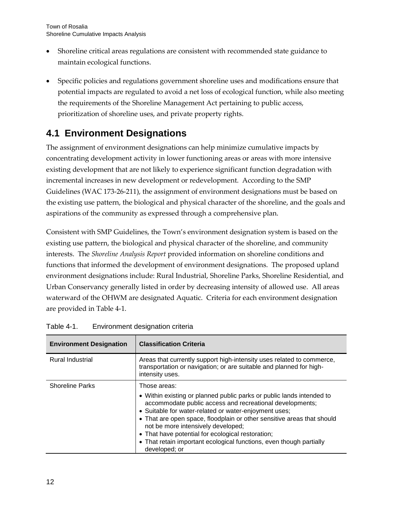- Shoreline critical areas regulations are consistent with recommended state guidance to maintain ecological functions.
- Specific policies and regulations government shoreline uses and modifications ensure that potential impacts are regulated to avoid a net loss of ecological function, while also meeting the requirements of the Shoreline Management Act pertaining to public access, prioritization of shoreline uses, and private property rights.

### **4.1 Environment Designations**

The assignment of environment designations can help minimize cumulative impacts by concentrating development activity in lower functioning areas or areas with more intensive existing development that are not likely to experience significant function degradation with incremental increases in new development or redevelopment. According to the SMP Guidelines (WAC 173-26-211), the assignment of environment designations must be based on the existing use pattern, the biological and physical character of the shoreline, and the goals and aspirations of the community as expressed through a comprehensive plan.

Consistent with SMP Guidelines, the Town's environment designation system is based on the existing use pattern, the biological and physical character of the shoreline, and community interests. The *Shoreline Analysis Report* provided information on shoreline conditions and functions that informed the development of environment designations. The proposed upland environment designations include: Rural Industrial, Shoreline Parks, Shoreline Residential, and Urban Conservancy generally listed in order by decreasing intensity of allowed use. All areas waterward of the OHWM are designated Aquatic. Criteria for each environment designation are provided in Table 4-1.

| <b>Environment Designation</b> | <b>Classification Criteria</b>                                                                                                                                                                                                                                                                                                                                                                                                                                          |  |
|--------------------------------|-------------------------------------------------------------------------------------------------------------------------------------------------------------------------------------------------------------------------------------------------------------------------------------------------------------------------------------------------------------------------------------------------------------------------------------------------------------------------|--|
| <b>Rural Industrial</b>        | Areas that currently support high-intensity uses related to commerce,<br>transportation or navigation; or are suitable and planned for high-<br>intensity uses.                                                                                                                                                                                                                                                                                                         |  |
| <b>Shoreline Parks</b>         | Those areas:<br>• Within existing or planned public parks or public lands intended to<br>accommodate public access and recreational developments;<br>• Suitable for water-related or water-enjoyment uses;<br>• That are open space, floodplain or other sensitive areas that should<br>not be more intensively developed;<br>• That have potential for ecological restoration;<br>• That retain important ecological functions, even though partially<br>developed; or |  |

<span id="page-15-0"></span>

| Table 4-1. | Environment designation criteria |  |
|------------|----------------------------------|--|
|            |                                  |  |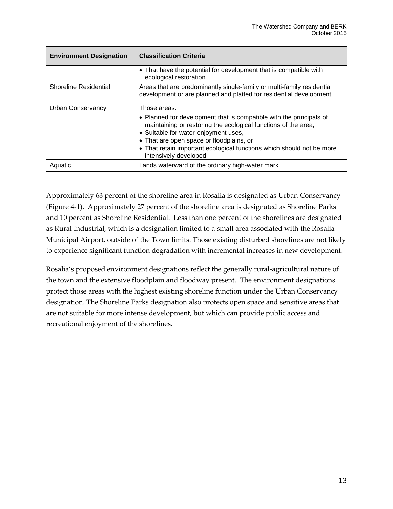| <b>Environment Designation</b> | <b>Classification Criteria</b>                                                                                                                                                                                                                                                                                                               |
|--------------------------------|----------------------------------------------------------------------------------------------------------------------------------------------------------------------------------------------------------------------------------------------------------------------------------------------------------------------------------------------|
|                                | • That have the potential for development that is compatible with<br>ecological restoration.                                                                                                                                                                                                                                                 |
| <b>Shoreline Residential</b>   | Areas that are predominantly single-family or multi-family residential<br>development or are planned and platted for residential development.                                                                                                                                                                                                |
| Urban Conservancy              | Those areas:<br>• Planned for development that is compatible with the principals of<br>maintaining or restoring the ecological functions of the area,<br>• Suitable for water-enjoyment uses,<br>• That are open space or floodplains, or<br>• That retain important ecological functions which should not be more<br>intensively developed. |
| Aquatic                        | Lands waterward of the ordinary high-water mark.                                                                                                                                                                                                                                                                                             |

Approximately 63 percent of the shoreline area in Rosalia is designated as Urban Conservancy (Figure 4-1). Approximately 27 percent of the shoreline area is designated as Shoreline Parks and 10 percent as Shoreline Residential. Less than one percent of the shorelines are designated as Rural Industrial, which is a designation limited to a small area associated with the Rosalia Municipal Airport, outside of the Town limits. Those existing disturbed shorelines are not likely to experience significant function degradation with incremental increases in new development.

Rosalia's proposed environment designations reflect the generally rural-agricultural nature of the town and the extensive floodplain and floodway present. The environment designations protect those areas with the highest existing shoreline function under the Urban Conservancy designation. The Shoreline Parks designation also protects open space and sensitive areas that are not suitable for more intense development, but which can provide public access and recreational enjoyment of the shorelines.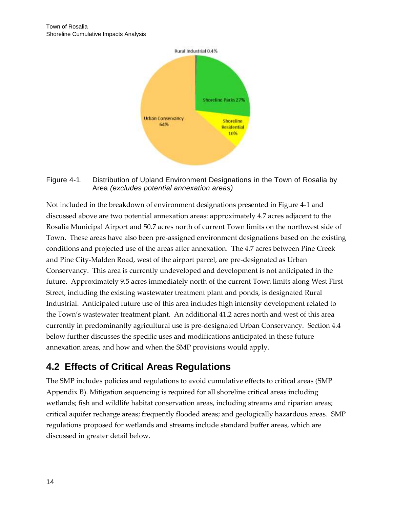

#### <span id="page-17-0"></span>Figure 4-1. Distribution of Upland Environment Designations in the Town of Rosalia by Area *(excludes potential annexation areas)*

Not included in the breakdown of environment designations presented in Figure 4-1 and discussed above are two potential annexation areas: approximately 4.7 acres adjacent to the Rosalia Municipal Airport and 50.7 acres north of current Town limits on the northwest side of Town. These areas have also been pre-assigned environment designations based on the existing conditions and projected use of the areas after annexation. The 4.7 acres between Pine Creek and Pine City-Malden Road, west of the airport parcel, are pre-designated as Urban Conservancy. This area is currently undeveloped and development is not anticipated in the future. Approximately 9.5 acres immediately north of the current Town limits along West First Street, including the existing wastewater treatment plant and ponds, is designated Rural Industrial. Anticipated future use of this area includes high intensity development related to the Town's wastewater treatment plant. An additional 41.2 acres north and west of this area currently in predominantly agricultural use is pre-designated Urban Conservancy. Section 4.4 below further discusses the specific uses and modifications anticipated in these future annexation areas, and how and when the SMP provisions would apply.

### **4.2 Effects of Critical Areas Regulations**

The SMP includes policies and regulations to avoid cumulative effects to critical areas (SMP Appendix B). Mitigation sequencing is required for all shoreline critical areas including wetlands; fish and wildlife habitat conservation areas, including streams and riparian areas; critical aquifer recharge areas; frequently flooded areas; and geologically hazardous areas. SMP regulations proposed for wetlands and streams include standard buffer areas, which are discussed in greater detail below.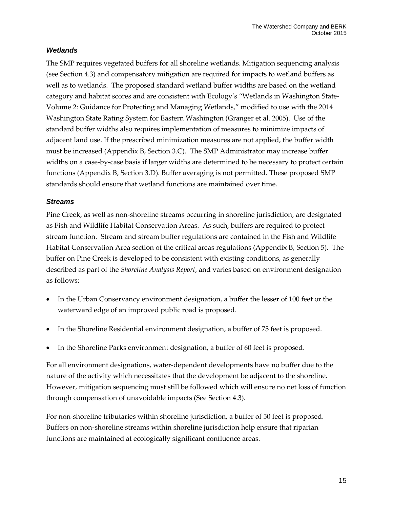#### *Wetlands*

The SMP requires vegetated buffers for all shoreline wetlands. Mitigation sequencing analysis (see Section 4.3) and compensatory mitigation are required for impacts to wetland buffers as well as to wetlands. The proposed standard wetland buffer widths are based on the wetland category and habitat scores and are consistent with Ecology's "Wetlands in Washington State-Volume 2: Guidance for Protecting and Managing Wetlands," modified to use with the 2014 Washington State Rating System for Eastern Washington (Granger et al. 2005). Use of the standard buffer widths also requires implementation of measures to minimize impacts of adjacent land use. If the prescribed minimization measures are not applied, the buffer width must be increased (Appendix B, Section 3.C). The SMP Administrator may increase buffer widths on a case-by-case basis if larger widths are determined to be necessary to protect certain functions (Appendix B, Section 3.D). Buffer averaging is not permitted. These proposed SMP standards should ensure that wetland functions are maintained over time.

#### *Streams*

Pine Creek, as well as non-shoreline streams occurring in shoreline jurisdiction, are designated as Fish and Wildlife Habitat Conservation Areas. As such, buffers are required to protect stream function. Stream and stream buffer regulations are contained in the Fish and Wildlife Habitat Conservation Area section of the critical areas regulations (Appendix B, Section 5). The buffer on Pine Creek is developed to be consistent with existing conditions, as generally described as part of the *Shoreline Analysis Report*, and varies based on environment designation as follows:

- In the Urban Conservancy environment designation, a buffer the lesser of 100 feet or the waterward edge of an improved public road is proposed.
- In the Shoreline Residential environment designation, a buffer of 75 feet is proposed.
- In the Shoreline Parks environment designation, a buffer of 60 feet is proposed.

For all environment designations, water-dependent developments have no buffer due to the nature of the activity which necessitates that the development be adjacent to the shoreline. However, mitigation sequencing must still be followed which will ensure no net loss of function through compensation of unavoidable impacts (See Section 4.3).

For non-shoreline tributaries within shoreline jurisdiction, a buffer of 50 feet is proposed. Buffers on non-shoreline streams within shoreline jurisdiction help ensure that riparian functions are maintained at ecologically significant confluence areas.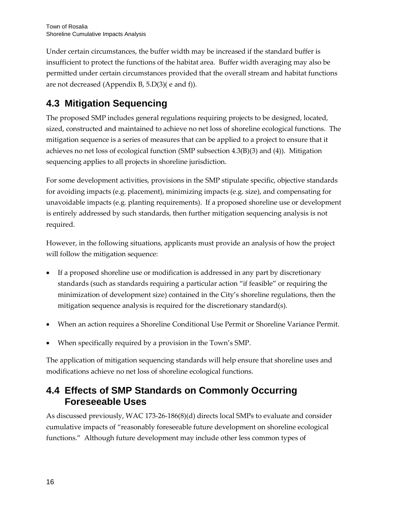Under certain circumstances, the buffer width may be increased if the standard buffer is insufficient to protect the functions of the habitat area. Buffer width averaging may also be permitted under certain circumstances provided that the overall stream and habitat functions are not decreased (Appendix B, 5.D(3)( e and f)).

### **4.3 Mitigation Sequencing**

The proposed SMP includes general regulations requiring projects to be designed, located, sized, constructed and maintained to achieve no net loss of shoreline ecological functions. The mitigation sequence is a series of measures that can be applied to a project to ensure that it achieves no net loss of ecological function (SMP subsection 4.3(B)(3) and (4)). Mitigation sequencing applies to all projects in shoreline jurisdiction.

For some development activities, provisions in the SMP stipulate specific, objective standards for avoiding impacts (e.g. placement), minimizing impacts (e.g. size), and compensating for unavoidable impacts (e.g. planting requirements). If a proposed shoreline use or development is entirely addressed by such standards, then further mitigation sequencing analysis is not required.

However, in the following situations, applicants must provide an analysis of how the project will follow the mitigation sequence:

- If a proposed shoreline use or modification is addressed in any part by discretionary standards (such as standards requiring a particular action "if feasible" or requiring the minimization of development size) contained in the City's shoreline regulations, then the mitigation sequence analysis is required for the discretionary standard(s).
- When an action requires a Shoreline Conditional Use Permit or Shoreline Variance Permit.
- When specifically required by a provision in the Town's SMP.

The application of mitigation sequencing standards will help ensure that shoreline uses and modifications achieve no net loss of shoreline ecological functions.

### **4.4 Effects of SMP Standards on Commonly Occurring Foreseeable Uses**

As discussed previously, WAC 173-26-186(8)(d) directs local SMPs to evaluate and consider cumulative impacts of "reasonably foreseeable future development on shoreline ecological functions." Although future development may include other less common types of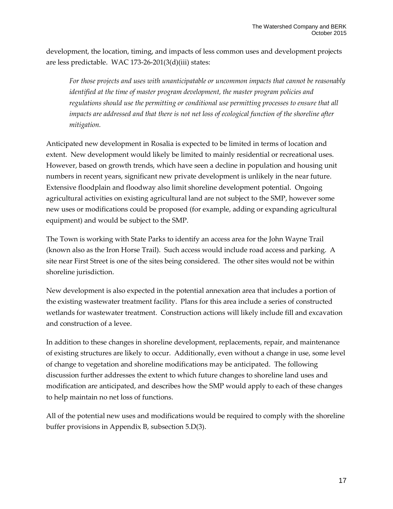development, the location, timing, and impacts of less common uses and development projects are less predictable. WAC 173-26-201(3(d)(iii) states:

*For those projects and uses with unanticipatable or uncommon impacts that cannot be reasonably identified at the time of master program development, the master program policies and regulations should use the permitting or conditional use permitting processes to ensure that all impacts are addressed and that there is not net loss of ecological function of the shoreline after mitigation.*

Anticipated new development in Rosalia is expected to be limited in terms of location and extent. New development would likely be limited to mainly residential or recreational uses. However, based on growth trends, which have seen a decline in population and housing unit numbers in recent years, significant new private development is unlikely in the near future. Extensive floodplain and floodway also limit shoreline development potential. Ongoing agricultural activities on existing agricultural land are not subject to the SMP, however some new uses or modifications could be proposed (for example, adding or expanding agricultural equipment) and would be subject to the SMP.

The Town is working with State Parks to identify an access area for the John Wayne Trail (known also as the Iron Horse Trail). Such access would include road access and parking. A site near First Street is one of the sites being considered. The other sites would not be within shoreline jurisdiction.

New development is also expected in the potential annexation area that includes a portion of the existing wastewater treatment facility. Plans for this area include a series of constructed wetlands for wastewater treatment. Construction actions will likely include fill and excavation and construction of a levee.

In addition to these changes in shoreline development, replacements, repair, and maintenance of existing structures are likely to occur. Additionally, even without a change in use, some level of change to vegetation and shoreline modifications may be anticipated. The following discussion further addresses the extent to which future changes to shoreline land uses and modification are anticipated, and describes how the SMP would apply to each of these changes to help maintain no net loss of functions.

All of the potential new uses and modifications would be required to comply with the shoreline buffer provisions in Appendix B, subsection 5.D(3).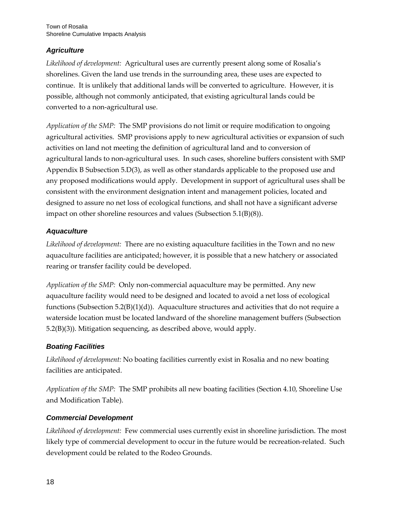### *Agriculture*

*Likelihood of development:* Agricultural uses are currently present along some of Rosalia's shorelines. Given the land use trends in the surrounding area, these uses are expected to continue. It is unlikely that additional lands will be converted to agriculture. However, it is possible, although not commonly anticipated, that existing agricultural lands could be converted to a non-agricultural use.

*Application of the SMP:* The SMP provisions do not limit or require modification to ongoing agricultural activities. SMP provisions apply to new agricultural activities or expansion of such activities on land not meeting the definition of agricultural land and to conversion of agricultural lands to non-agricultural uses. In such cases, shoreline buffers consistent with SMP Appendix B Subsection 5.D(3), as well as other standards applicable to the proposed use and any proposed modifications would apply. Development in support of agricultural uses shall be consistent with the environment designation intent and management policies, located and designed to assure no net loss of ecological functions, and shall not have a significant adverse impact on other shoreline resources and values (Subsection 5.1(B)(8)).

### *Aquaculture*

*Likelihood of development:* There are no existing aquaculture facilities in the Town and no new aquaculture facilities are anticipated; however, it is possible that a new hatchery or associated rearing or transfer facility could be developed.

*Application of the SMP:* Only non-commercial aquaculture may be permitted. Any new aquaculture facility would need to be designed and located to avoid a net loss of ecological functions (Subsection 5.2(B)(1)(d)). Aquaculture structures and activities that do not require a waterside location must be located landward of the shoreline management buffers (Subsection 5.2(B)(3)). Mitigation sequencing, as described above, would apply.

### *Boating Facilities*

*Likelihood of development:* No boating facilities currently exist in Rosalia and no new boating facilities are anticipated.

*Application of the SMP:* The SMP prohibits all new boating facilities (Section 4.10, Shoreline Use and Modification Table).

### *Commercial Development*

*Likelihood of development:* Few commercial uses currently exist in shoreline jurisdiction. The most likely type of commercial development to occur in the future would be recreation-related. Such development could be related to the Rodeo Grounds.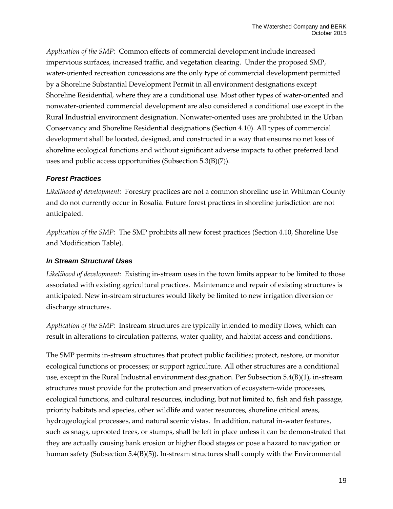*Application of the SMP:* Common effects of commercial development include increased impervious surfaces, increased traffic, and vegetation clearing. Under the proposed SMP, water-oriented recreation concessions are the only type of commercial development permitted by a Shoreline Substantial Development Permit in all environment designations except Shoreline Residential, where they are a conditional use. Most other types of water-oriented and nonwater-oriented commercial development are also considered a conditional use except in the Rural Industrial environment designation. Nonwater-oriented uses are prohibited in the Urban Conservancy and Shoreline Residential designations (Section 4.10). All types of commercial development shall be located, designed, and constructed in a way that ensures no net loss of shoreline ecological functions and without significant adverse impacts to other preferred land uses and public access opportunities (Subsection 5.3(B)(7)).

#### *Forest Practices*

*Likelihood of development:* Forestry practices are not a common shoreline use in Whitman County and do not currently occur in Rosalia. Future forest practices in shoreline jurisdiction are not anticipated.

*Application of the SMP:* The SMP prohibits all new forest practices (Section 4.10, Shoreline Use and Modification Table).

### *In Stream Structural Uses*

*Likelihood of development:* Existing in-stream uses in the town limits appear to be limited to those associated with existing agricultural practices. Maintenance and repair of existing structures is anticipated. New in-stream structures would likely be limited to new irrigation diversion or discharge structures.

*Application of the SMP:* Instream structures are typically intended to modify flows, which can result in alterations to circulation patterns, water quality, and habitat access and conditions.

The SMP permits in-stream structures that protect public facilities; protect, restore, or monitor ecological functions or processes; or support agriculture. All other structures are a conditional use, except in the Rural Industrial environment designation. Per Subsection 5.4(B)(1), in-stream structures must provide for the protection and preservation of ecosystem-wide processes, ecological functions, and cultural resources, including, but not limited to, fish and fish passage, priority habitats and species, other wildlife and water resources, shoreline critical areas, hydrogeological processes, and natural scenic vistas. In addition, natural in-water features, such as snags, uprooted trees, or stumps, shall be left in place unless it can be demonstrated that they are actually causing bank erosion or higher flood stages or pose a hazard to navigation or human safety (Subsection 5.4(B)(5)). In-stream structures shall comply with the Environmental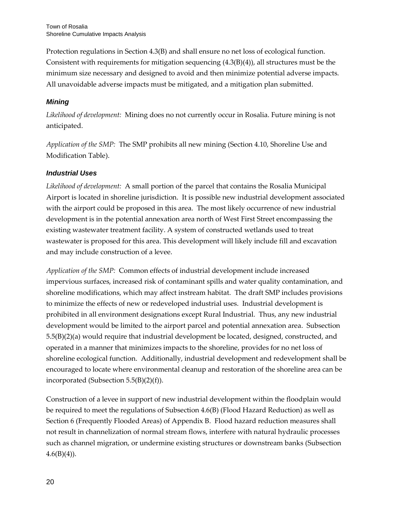Protection regulations in Section 4.3(B) and shall ensure no net loss of ecological function. Consistent with requirements for mitigation sequencing  $(4.3(B)(4))$ , all structures must be the minimum size necessary and designed to avoid and then minimize potential adverse impacts. All unavoidable adverse impacts must be mitigated, and a mitigation plan submitted.

### *Mining*

*Likelihood of development:* Mining does no not currently occur in Rosalia. Future mining is not anticipated.

*Application of the SMP:* The SMP prohibits all new mining (Section 4.10, Shoreline Use and Modification Table).

### *Industrial Uses*

*Likelihood of development:* A small portion of the parcel that contains the Rosalia Municipal Airport is located in shoreline jurisdiction. It is possible new industrial development associated with the airport could be proposed in this area. The most likely occurrence of new industrial development is in the potential annexation area north of West First Street encompassing the existing wastewater treatment facility. A system of constructed wetlands used to treat wastewater is proposed for this area. This development will likely include fill and excavation and may include construction of a levee.

*Application of the SMP:* Common effects of industrial development include increased impervious surfaces, increased risk of contaminant spills and water quality contamination, and shoreline modifications, which may affect instream habitat. The draft SMP includes provisions to minimize the effects of new or redeveloped industrial uses. Industrial development is prohibited in all environment designations except Rural Industrial. Thus, any new industrial development would be limited to the airport parcel and potential annexation area. Subsection 5.5(B)(2)(a) would require that industrial development be located, designed, constructed, and operated in a manner that minimizes impacts to the shoreline, provides for no net loss of shoreline ecological function. Additionally, industrial development and redevelopment shall be encouraged to locate where environmental cleanup and restoration of the shoreline area can be incorporated (Subsection 5.5(B)(2)(f)).

Construction of a levee in support of new industrial development within the floodplain would be required to meet the regulations of Subsection 4.6(B) (Flood Hazard Reduction) as well as Section 6 (Frequently Flooded Areas) of Appendix B. Flood hazard reduction measures shall not result in channelization of normal stream flows, interfere with natural hydraulic processes such as channel migration, or undermine existing structures or downstream banks (Subsection  $4.6(B)(4)$ ).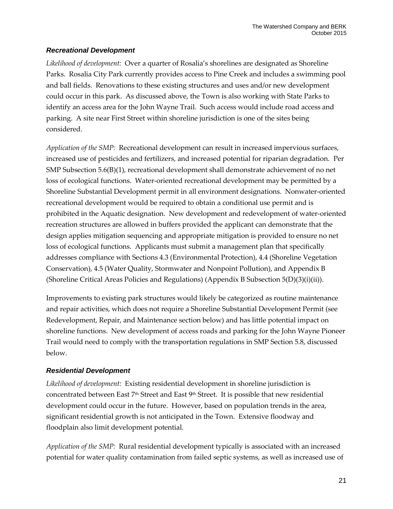#### *Recreational Development*

*Likelihood of development:* Over a quarter of Rosalia's shorelines are designated as Shoreline Parks. Rosalia City Park currently provides access to Pine Creek and includes a swimming pool and ball fields. Renovations to these existing structures and uses and/or new development could occur in this park. As discussed above, the Town is also working with State Parks to identify an access area for the John Wayne Trail. Such access would include road access and parking. A site near First Street within shoreline jurisdiction is one of the sites being considered.

*Application of the SMP:* Recreational development can result in increased impervious surfaces, increased use of pesticides and fertilizers, and increased potential for riparian degradation. Per SMP Subsection 5.6(B)(1), recreational development shall demonstrate achievement of no net loss of ecological functions. Water-oriented recreational development may be permitted by a Shoreline Substantial Development permit in all environment designations. Nonwater-oriented recreational development would be required to obtain a conditional use permit and is prohibited in the Aquatic designation. New development and redevelopment of water-oriented recreation structures are allowed in buffers provided the applicant can demonstrate that the design applies mitigation sequencing and appropriate mitigation is provided to ensure no net loss of ecological functions. Applicants must submit a management plan that specifically addresses compliance with Sections 4.3 (Environmental Protection), 4.4 (Shoreline Vegetation Conservation), 4.5 (Water Quality, Stormwater and Nonpoint Pollution), and Appendix B (Shoreline Critical Areas Policies and Regulations) (Appendix B Subsection 5(D)(3)(i)(ii)).

Improvements to existing park structures would likely be categorized as routine maintenance and repair activities, which does not require a Shoreline Substantial Development Permit (see Redevelopment, Repair, and Maintenance section below) and has little potential impact on shoreline functions. New development of access roads and parking for the John Wayne Pioneer Trail would need to comply with the transportation regulations in SMP Section 5.8, discussed below.

### *Residential Development*

*Likelihood of development:* Existing residential development in shoreline jurisdiction is concentrated between East 7th Street and East 9th Street. It is possible that new residential development could occur in the future. However, based on population trends in the area, significant residential growth is not anticipated in the Town. Extensive floodway and floodplain also limit development potential.

*Application of the SMP:* Rural residential development typically is associated with an increased potential for water quality contamination from failed septic systems, as well as increased use of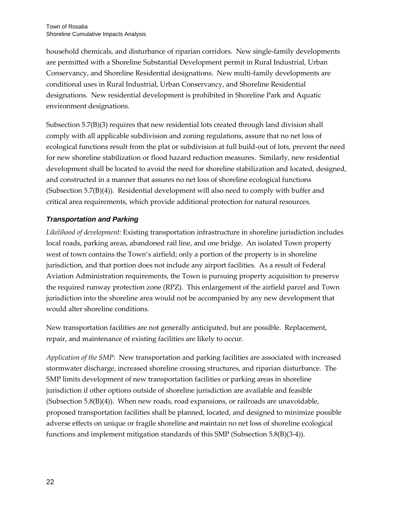household chemicals, and disturbance of riparian corridors. New single-family developments are permitted with a Shoreline Substantial Development permit in Rural Industrial, Urban Conservancy, and Shoreline Residential designations. New multi-family developments are conditional uses in Rural Industrial, Urban Conservancy, and Shoreline Residential designations. New residential development is prohibited in Shoreline Park and Aquatic environment designations.

Subsection 5.7(B)(3) requires that new residential lots created through land division shall comply with all applicable subdivision and zoning regulations, assure that no net loss of ecological functions result from the plat or subdivision at full build-out of lots, prevent the need for new shoreline stabilization or flood hazard reduction measures. Similarly, new residential development shall be located to avoid the need for shoreline stabilization and located, designed, and constructed in a manner that assures no net loss of shoreline ecological functions (Subsection 5.7(B)(4)). Residential development will also need to comply with buffer and critical area requirements, which provide additional protection for natural resources.

### *Transportation and Parking*

*Likelihood of development:* Existing transportation infrastructure in shoreline jurisdiction includes local roads, parking areas, abandoned rail line, and one bridge. An isolated Town property west of town contains the Town's airfield; only a portion of the property is in shoreline jurisdiction, and that portion does not include any airport facilities. As a result of Federal Aviation Administration requirements, the Town is pursuing property acquisition to preserve the required runway protection zone (RPZ). This enlargement of the airfield parcel and Town jurisdiction into the shoreline area would not be accompanied by any new development that would alter shoreline conditions.

New transportation facilities are not generally anticipated, but are possible. Replacement, repair, and maintenance of existing facilities are likely to occur.

*Application of the SMP:* New transportation and parking facilities are associated with increased stormwater discharge, increased shoreline crossing structures, and riparian disturbance. The SMP limits development of new transportation facilities or parking areas in shoreline jurisdiction if other options outside of shoreline jurisdiction are available and feasible (Subsection  $5.8(B)(4)$ ). When new roads, road expansions, or railroads are unavoidable, proposed transportation facilities shall be planned, located, and designed to minimize possible adverse effects on unique or fragile shoreline and maintain no net loss of shoreline ecological functions and implement mitigation standards of this SMP (Subsection 5.8(B)(3-4)).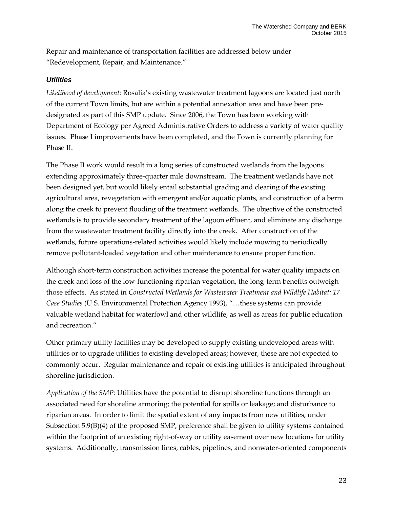Repair and maintenance of transportation facilities are addressed below under "Redevelopment, Repair, and Maintenance."

#### *Utilities*

*Likelihood of development:* Rosalia's existing wastewater treatment lagoons are located just north of the current Town limits, but are within a potential annexation area and have been predesignated as part of this SMP update. Since 2006, the Town has been working with Department of Ecology per Agreed Administrative Orders to address a variety of water quality issues. Phase I improvements have been completed, and the Town is currently planning for Phase II.

The Phase II work would result in a long series of constructed wetlands from the lagoons extending approximately three-quarter mile downstream. The treatment wetlands have not been designed yet, but would likely entail substantial grading and clearing of the existing agricultural area, revegetation with emergent and/or aquatic plants, and construction of a berm along the creek to prevent flooding of the treatment wetlands. The objective of the constructed wetlands is to provide secondary treatment of the lagoon effluent, and eliminate any discharge from the wastewater treatment facility directly into the creek. After construction of the wetlands, future operations-related activities would likely include mowing to periodically remove pollutant-loaded vegetation and other maintenance to ensure proper function.

Although short-term construction activities increase the potential for water quality impacts on the creek and loss of the low-functioning riparian vegetation, the long-term benefits outweigh those effects. As stated in *Constructed Wetlands for Wastewater Treatment and Wildlife Habitat: 17 Case Studies* (U.S. Environmental Protection Agency 1993), "…these systems can provide valuable wetland habitat for waterfowl and other wildlife, as well as areas for public education and recreation."

Other primary utility facilities may be developed to supply existing undeveloped areas with utilities or to upgrade utilities to existing developed areas; however, these are not expected to commonly occur. Regular maintenance and repair of existing utilities is anticipated throughout shoreline jurisdiction.

*Application of the SMP:* Utilities have the potential to disrupt shoreline functions through an associated need for shoreline armoring; the potential for spills or leakage; and disturbance to riparian areas. In order to limit the spatial extent of any impacts from new utilities, under Subsection 5.9(B)(4) of the proposed SMP, preference shall be given to utility systems contained within the footprint of an existing right-of-way or utility easement over new locations for utility systems. Additionally, transmission lines, cables, pipelines, and nonwater-oriented components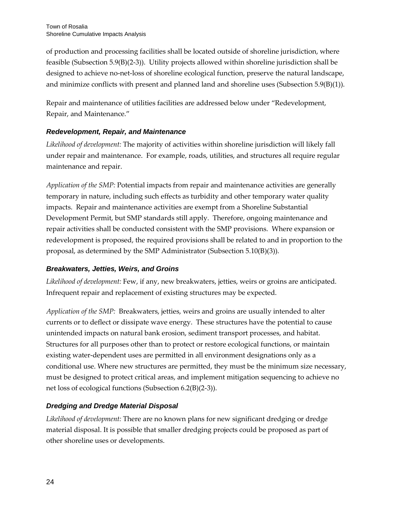of production and processing facilities shall be located outside of shoreline jurisdiction, where feasible (Subsection 5.9(B)(2-3)). Utility projects allowed within shoreline jurisdiction shall be designed to achieve no-net-loss of shoreline ecological function, preserve the natural landscape, and minimize conflicts with present and planned land and shoreline uses (Subsection 5.9(B)(1)).

Repair and maintenance of utilities facilities are addressed below under "Redevelopment, Repair, and Maintenance."

### *Redevelopment, Repair, and Maintenance*

*Likelihood of development:* The majority of activities within shoreline jurisdiction will likely fall under repair and maintenance. For example, roads, utilities, and structures all require regular maintenance and repair.

*Application of the SMP:* Potential impacts from repair and maintenance activities are generally temporary in nature, including such effects as turbidity and other temporary water quality impacts. Repair and maintenance activities are exempt from a Shoreline Substantial Development Permit, but SMP standards still apply. Therefore, ongoing maintenance and repair activities shall be conducted consistent with the SMP provisions. Where expansion or redevelopment is proposed, the required provisions shall be related to and in proportion to the proposal, as determined by the SMP Administrator (Subsection 5.10(B)(3)).

### *Breakwaters, Jetties, Weirs, and Groins*

*Likelihood of development:* Few, if any, new breakwaters, jetties, weirs or groins are anticipated. Infrequent repair and replacement of existing structures may be expected.

*Application of the SMP:* Breakwaters, jetties, weirs and groins are usually intended to alter currents or to deflect or dissipate wave energy. These structures have the potential to cause unintended impacts on natural bank erosion, sediment transport processes, and habitat. Structures for all purposes other than to protect or restore ecological functions, or maintain existing water-dependent uses are permitted in all environment designations only as a conditional use. Where new structures are permitted, they must be the minimum size necessary, must be designed to protect critical areas, and implement mitigation sequencing to achieve no net loss of ecological functions (Subsection 6.2(B)(2-3)).

### *Dredging and Dredge Material Disposal*

*Likelihood of development:* There are no known plans for new significant dredging or dredge material disposal. It is possible that smaller dredging projects could be proposed as part of other shoreline uses or developments.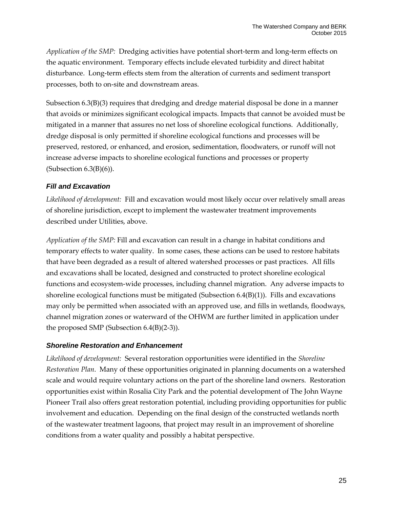*Application of the SMP:* Dredging activities have potential short-term and long-term effects on the aquatic environment. Temporary effects include elevated turbidity and direct habitat disturbance. Long-term effects stem from the alteration of currents and sediment transport processes, both to on-site and downstream areas.

Subsection 6.3(B)(3) requires that dredging and dredge material disposal be done in a manner that avoids or minimizes significant ecological impacts. Impacts that cannot be avoided must be mitigated in a manner that assures no net loss of shoreline ecological functions. Additionally, dredge disposal is only permitted if shoreline ecological functions and processes will be preserved, restored, or enhanced, and erosion, sedimentation, floodwaters, or runoff will not increase adverse impacts to shoreline ecological functions and processes or property (Subsection  $6.3(B)(6)$ ).

### *Fill and Excavation*

*Likelihood of development:* Fill and excavation would most likely occur over relatively small areas of shoreline jurisdiction, except to implement the wastewater treatment improvements described under Utilities, above.

*Application of the SMP:* Fill and excavation can result in a change in habitat conditions and temporary effects to water quality. In some cases, these actions can be used to restore habitats that have been degraded as a result of altered watershed processes or past practices. All fills and excavations shall be located, designed and constructed to protect shoreline ecological functions and ecosystem-wide processes, including channel migration. Any adverse impacts to shoreline ecological functions must be mitigated (Subsection  $6.4(B)(1)$ ). Fills and excavations may only be permitted when associated with an approved use, and fills in wetlands, floodways, channel migration zones or waterward of the OHWM are further limited in application under the proposed SMP (Subsection 6.4(B)(2-3)).

### *Shoreline Restoration and Enhancement*

*Likelihood of development:* Several restoration opportunities were identified in the *Shoreline Restoration Plan*. Many of these opportunities originated in planning documents on a watershed scale and would require voluntary actions on the part of the shoreline land owners. Restoration opportunities exist within Rosalia City Park and the potential development of The John Wayne Pioneer Trail also offers great restoration potential, including providing opportunities for public involvement and education. Depending on the final design of the constructed wetlands north of the wastewater treatment lagoons, that project may result in an improvement of shoreline conditions from a water quality and possibly a habitat perspective.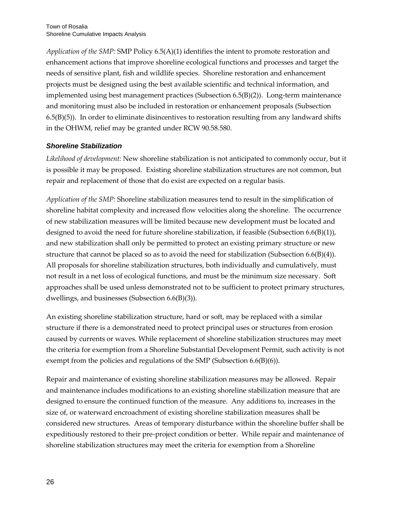*Application of the SMP:* SMP Policy 6.5(A)(1) identifies the intent to promote restoration and enhancement actions that improve shoreline ecological functions and processes and target the needs of sensitive plant, fish and wildlife species. Shoreline restoration and enhancement projects must be designed using the best available scientific and technical information, and implemented using best management practices (Subsection 6.5(B)(2)). Long-term maintenance and monitoring must also be included in restoration or enhancement proposals (Subsection 6.5(B)(5)). In order to eliminate disincentives to restoration resulting from any landward shifts in the OHWM, relief may be granted under RCW 90.58.580.

#### *Shoreline Stabilization*

*Likelihood of development:* New shoreline stabilization is not anticipated to commonly occur, but it is possible it may be proposed. Existing shoreline stabilization structures are not common, but repair and replacement of those that do exist are expected on a regular basis.

*Application of the SMP:* Shoreline stabilization measures tend to result in the simplification of shoreline habitat complexity and increased flow velocities along the shoreline. The occurrence of new stabilization measures will be limited because new development must be located and designed to avoid the need for future shoreline stabilization, if feasible (Subsection  $6.6(B)(1)$ ), and new stabilization shall only be permitted to protect an existing primary structure or new structure that cannot be placed so as to avoid the need for stabilization (Subsection 6.6(B)(4)). All proposals for shoreline stabilization structures, both individually and cumulatively, must not result in a net loss of ecological functions, and must be the minimum size necessary. Soft approaches shall be used unless demonstrated not to be sufficient to protect primary structures, dwellings, and businesses (Subsection 6.6(B)(3)).

An existing shoreline stabilization structure, hard or soft, may be replaced with a similar structure if there is a demonstrated need to protect principal uses or structures from erosion caused by currents or waves. While replacement of shoreline stabilization structures may meet the criteria for exemption from a Shoreline Substantial Development Permit, such activity is not exempt from the policies and regulations of the SMP (Subsection 6.6(B)(6)).

Repair and maintenance of existing shoreline stabilization measures may be allowed. Repair and maintenance includes modifications to an existing shoreline stabilization measure that are designed to ensure the continued function of the measure. Any additions to, increases in the size of, or waterward encroachment of existing shoreline stabilization measures shall be considered new structures. Areas of temporary disturbance within the shoreline buffer shall be expeditiously restored to their pre-project condition or better. While repair and maintenance of shoreline stabilization structures may meet the criteria for exemption from a Shoreline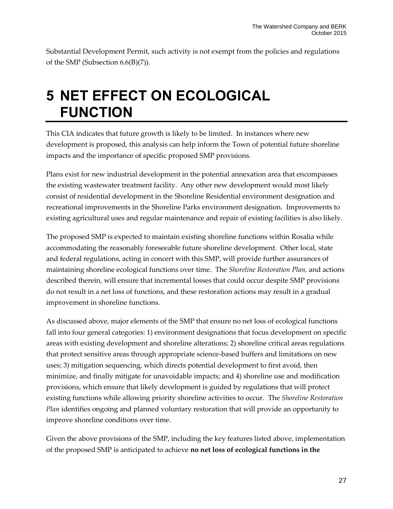Substantial Development Permit, such activity is not exempt from the policies and regulations of the SMP (Subsection 6.6(B)(7)).

## **5 NET EFFECT ON ECOLOGICAL FUNCTION**

This CIA indicates that future growth is likely to be limited. In instances where new development is proposed, this analysis can help inform the Town of potential future shoreline impacts and the importance of specific proposed SMP provisions.

Plans exist for new industrial development in the potential annexation area that encompasses the existing wastewater treatment facility. Any other new development would most likely consist of residential development in the Shoreline Residential environment designation and recreational improvements in the Shoreline Parks environment designation. Improvements to existing agricultural uses and regular maintenance and repair of existing facilities is also likely.

The proposed SMP is expected to maintain existing shoreline functions within Rosalia while accommodating the reasonably foreseeable future shoreline development. Other local, state and federal regulations, acting in concert with this SMP, will provide further assurances of maintaining shoreline ecological functions over time. The *Shoreline Restoration Plan,* and actions described therein, will ensure that incremental losses that could occur despite SMP provisions do not result in a net loss of functions, and these restoration actions may result in a gradual improvement in shoreline functions.

As discussed above, major elements of the SMP that ensure no net loss of ecological functions fall into four general categories: 1) environment designations that focus development on specific areas with existing development and shoreline alterations; 2) shoreline critical areas regulations that protect sensitive areas through appropriate science-based buffers and limitations on new uses; 3) mitigation sequencing, which directs potential development to first avoid, then minimize, and finally mitigate for unavoidable impacts; and 4) shoreline use and modification provisions, which ensure that likely development is guided by regulations that will protect existing functions while allowing priority shoreline activities to occur. The *Shoreline Restoration Plan* identifies ongoing and planned voluntary restoration that will provide an opportunity to improve shoreline conditions over time.

Given the above provisions of the SMP, including the key features listed above, implementation of the proposed SMP is anticipated to achieve **no net loss of ecological functions in the**